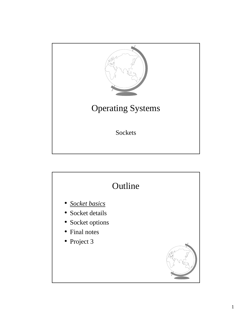

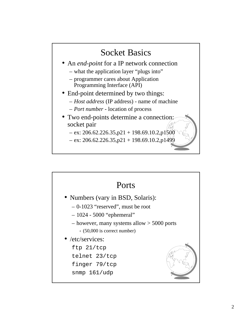

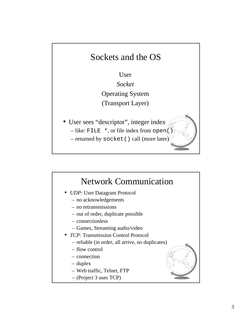

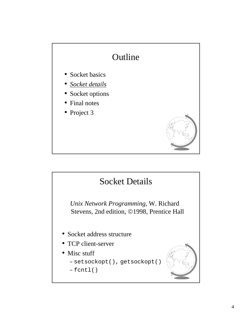

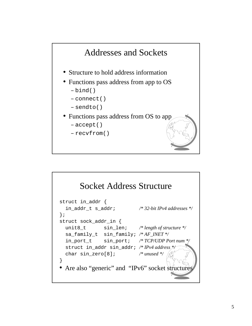

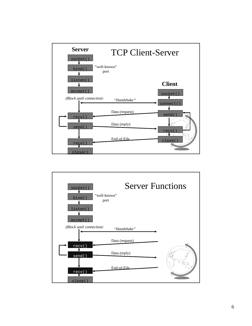

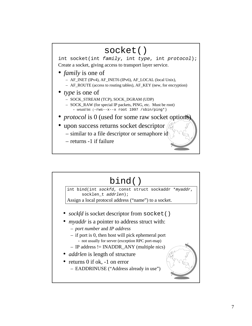

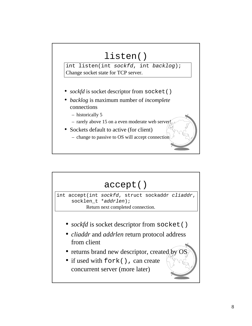

- *backlog* is maximum number of *incomplete* connections
	- historically 5
	- $-$  rarely above 15 on a even moderate web server
- Sockets default to active (for client)
	- change to passive to OS will accept connection

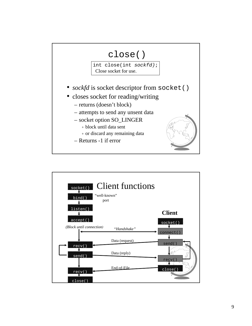

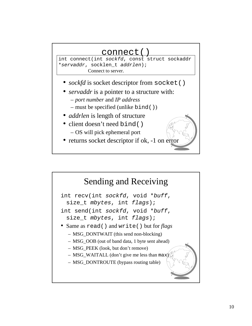## connect()

int connect(int *sockfd*, const struct sockaddr \**servaddr*, socklen\_t *addrlen*); Connect to server.

- *sockfd* is socket descriptor from socket()
- *servaddr* is a pointer to a structure with:
	- *port number* and *IP address*
	- must be specified (unlike bind())
- *addrlen* is length of structure
- client doesn't need bind() – OS will pick ephemeral port
- returns socket descriptor if ok, -1 on error

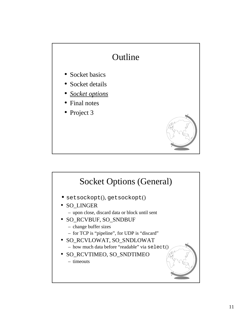

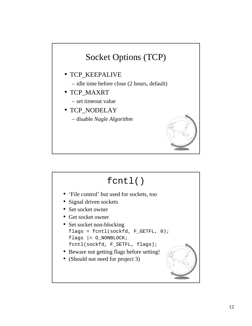